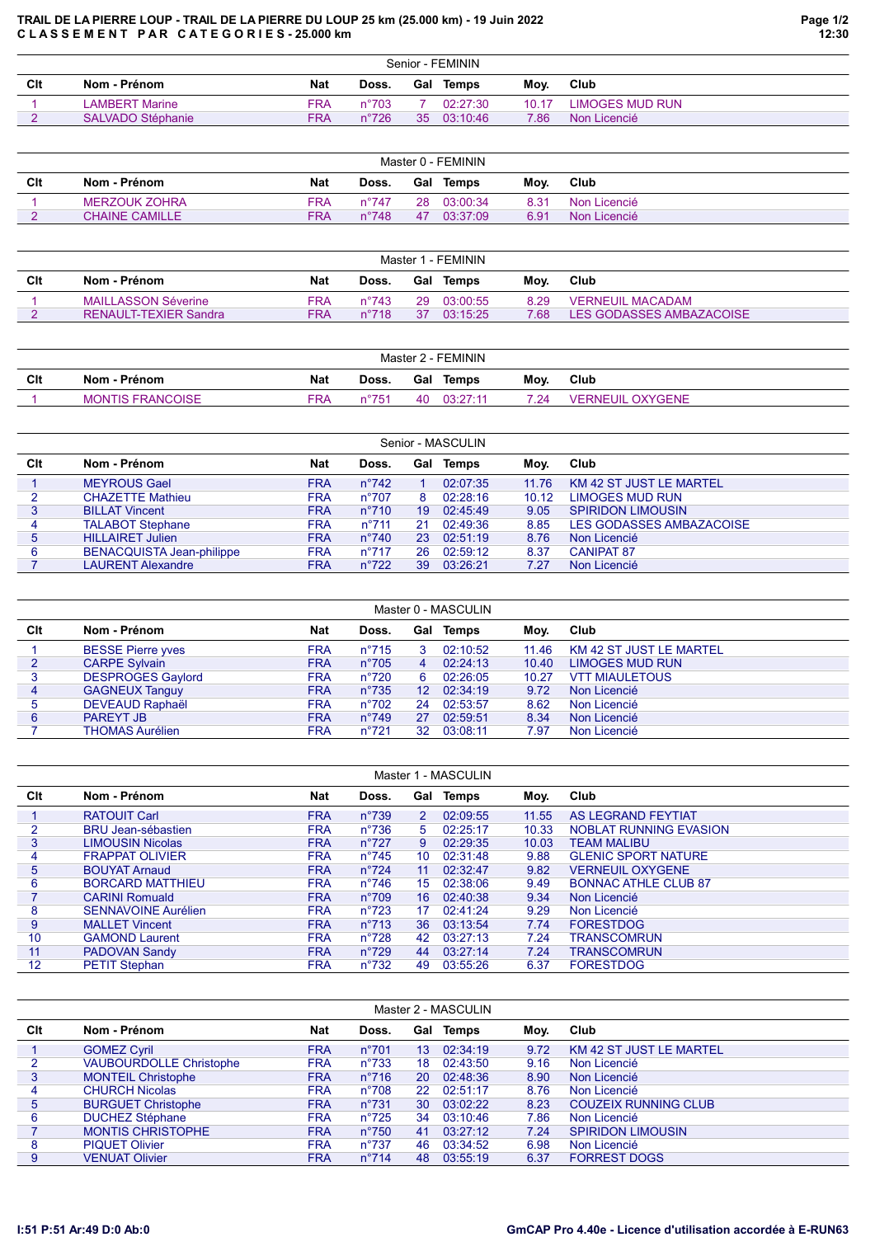## TRAIL DE LA PIERRE LOUP - TRAIL DE LA PIERRE DU LOUP 25 km (25.000 km) - 19 Juin 2022 C L A S S E M E N T P A R C A T E G O R I E S - 25.000 km

|     | Senior - FEMININ         |            |                |     |          |       |                 |  |  |  |  |
|-----|--------------------------|------------|----------------|-----|----------|-------|-----------------|--|--|--|--|
| Clt | Nom - Prénom             | <b>Nat</b> | Doss.          | Gal | Temps    | Mov.  | Club            |  |  |  |  |
|     | LAMBERT Marine           | FRA        | $n^{\circ}703$ |     | 02:27:30 | 10.17 | LIMOGES MUD RUN |  |  |  |  |
|     | <b>SALVADO Stéphanie</b> | FRA.       | $n^{\circ}726$ | 35  | 03:10:46 | 7.86  | Non Licencié    |  |  |  |  |

| Master 0 - FEMININ |                       |            |                |    |             |      |              |  |  |  |  |
|--------------------|-----------------------|------------|----------------|----|-------------|------|--------------|--|--|--|--|
| Clt                | Nom - Prénom          | <b>Nat</b> | Doss.          |    | Gal Temps   | Mov. | Club         |  |  |  |  |
|                    | MERZOUK ZOHRA         | <b>FRA</b> | n°747          |    | 28 03:00:34 | 8.31 | Non Licencié |  |  |  |  |
|                    | <b>CHAINE CAMILLE</b> | <b>FRA</b> | $n^{\circ}748$ | 47 | 03:37:09    | 6.91 | Non Licencié |  |  |  |  |

|     | Master 1 - FEMININ           |            |                |     |          |       |                          |  |  |  |  |
|-----|------------------------------|------------|----------------|-----|----------|-------|--------------------------|--|--|--|--|
| Clt | Nom - Prénom                 | <b>Nat</b> | Doss.          | Gal | Temps    | Mov.  | Club                     |  |  |  |  |
|     | <b>MAILLASSON Séverine</b>   | FRA        | $n^{\circ}743$ | 29  | 03:00:55 | 8.29  | <b>VERNEUIL MACADAM</b>  |  |  |  |  |
|     | <b>RENAULT-TEXIER Sandra</b> | <b>FRA</b> | $n^{\circ}718$ | 37  | 03.15.25 | 7 68. | LES GODASSES AMBAZACOISE |  |  |  |  |

|     | Master 2 - FEMININ      |            |                        |     |          |      |                         |  |  |  |  |
|-----|-------------------------|------------|------------------------|-----|----------|------|-------------------------|--|--|--|--|
| Clt | Nom - Prénom            | <b>Nat</b> | Doss.                  | Gal | Temps    | Moy. | Club                    |  |  |  |  |
|     | <b>MONTIS FRANCOISE</b> | FRA        | $n^{\circ}75^{\prime}$ | 40  | 03:27:11 | 7 24 | <b>VERNEUIL OXYGENE</b> |  |  |  |  |

| Senior - MASCULIN |                                  |            |                |    |                  |       |                                |  |  |  |  |  |
|-------------------|----------------------------------|------------|----------------|----|------------------|-------|--------------------------------|--|--|--|--|--|
| Clt               | Nom - Prénom                     | <b>Nat</b> | Doss.          |    | <b>Gal Temps</b> | Moy.  | Club                           |  |  |  |  |  |
|                   | <b>MEYROUS Gael</b>              | <b>FRA</b> | $n^{\circ}742$ |    | 02:07:35         | 11.76 | <b>KM 42 ST JUST LE MARTEL</b> |  |  |  |  |  |
|                   | <b>CHAZETTE Mathieu</b>          | <b>FRA</b> | $n^{\circ}707$ | 8  | 02:28:16         | 10.12 | <b>LIMOGES MUD RUN</b>         |  |  |  |  |  |
| 3                 | <b>BILLAT Vincent</b>            | FRA        | $n^{\circ}710$ | 19 | 02:45:49         | 9.05  | <b>SPIRIDON LIMOUSIN</b>       |  |  |  |  |  |
| 4                 | <b>TALABOT Stephane</b>          | <b>FRA</b> | $n^{\circ}711$ | 21 | 02:49:36         | 8.85  | LES GODASSES AMBAZACOISE       |  |  |  |  |  |
| 5                 | <b>HILLAIRET Julien</b>          | <b>FRA</b> | $n^{\circ}740$ | 23 | 02:51:19         | 8.76  | Non Licencié                   |  |  |  |  |  |
| 6                 | <b>BENACQUISTA Jean-philippe</b> | <b>FRA</b> | $n^{\circ}717$ | 26 | 02:59:12         | 8.37  | <b>CANIPAT 87</b>              |  |  |  |  |  |
|                   | <b>LAURENT Alexandre</b>         | <b>FRA</b> | $n^{\circ}722$ | 39 | 03:26:21         | 7.27  | Non Licencié                   |  |  |  |  |  |

| Master 0 - MASCULIN |                          |            |                |                 |          |       |                                |  |  |  |  |  |
|---------------------|--------------------------|------------|----------------|-----------------|----------|-------|--------------------------------|--|--|--|--|--|
| Clt                 | Nom - Prénom             | <b>Nat</b> | Doss.          | Gal             | Temps    | Moy.  | Club                           |  |  |  |  |  |
|                     | <b>BESSE Pierre yves</b> | <b>FRA</b> | $n^{\circ}715$ | 3               | 02:10:52 | 11.46 | <b>KM 42 ST JUST LE MARTEL</b> |  |  |  |  |  |
| 2                   | <b>CARPE Sylvain</b>     | <b>FRA</b> | $n^{\circ}705$ | 4               | 02:24:13 | 10.40 | <b>LIMOGES MUD RUN</b>         |  |  |  |  |  |
| 3                   | <b>DESPROGES Gaylord</b> | <b>FRA</b> | $n^{\circ}720$ | 6               | 02:26:05 | 10.27 | <b>VTT MIAULETOUS</b>          |  |  |  |  |  |
| 4                   | <b>GAGNEUX Tanguy</b>    | <b>FRA</b> | $n^{\circ}735$ | 12 <sup>°</sup> | 02:34:19 | 9.72  | Non Licencié                   |  |  |  |  |  |
| 5                   | <b>DEVEAUD Raphaël</b>   | <b>FRA</b> | $n^{\circ}702$ | 24              | 02:53:57 | 8.62  | Non Licencié                   |  |  |  |  |  |
| 6                   | <b>PAREYT JB</b>         | <b>FRA</b> | $n^{\circ}749$ | 27              | 02:59:51 | 8.34  | Non Licencié                   |  |  |  |  |  |
|                     | <b>THOMAS Aurélien</b>   | <b>FRA</b> | $n^{\circ}721$ | 32              | 03:08:11 | 7.97  | Non Licencié                   |  |  |  |  |  |

| Master 1 - MASCULIN |                            |            |                |    |           |       |                             |  |  |  |  |
|---------------------|----------------------------|------------|----------------|----|-----------|-------|-----------------------------|--|--|--|--|
| Clt                 | Nom - Prénom               | <b>Nat</b> | Doss.          |    | Gal Temps | Moy.  | Club                        |  |  |  |  |
|                     | <b>RATOUIT Carl</b>        | <b>FRA</b> | $n^{\circ}739$ | 2  | 02:09:55  | 11.55 | <b>AS LEGRAND FEYTIAT</b>   |  |  |  |  |
| 2                   | <b>BRU Jean-sébastien</b>  | <b>FRA</b> | $n^{\circ}736$ | 5  | 02:25:17  | 10.33 | NOBLAT RUNNING EVASION      |  |  |  |  |
| 3                   | <b>LIMOUSIN Nicolas</b>    | <b>FRA</b> | $n^{\circ}727$ | 9  | 02:29:35  | 10.03 | <b>TEAM MALIBU</b>          |  |  |  |  |
| 4                   | <b>FRAPPAT OLIVIER</b>     | <b>FRA</b> | $n^{\circ}745$ | 10 | 02:31:48  | 9.88  | <b>GLENIC SPORT NATURE</b>  |  |  |  |  |
| 5                   | <b>BOUYAT Arnaud</b>       | <b>FRA</b> | $n^{\circ}724$ | 11 | 02:32:47  | 9.82  | <b>VERNEUIL OXYGENE</b>     |  |  |  |  |
| 6                   | <b>BORCARD MATTHIEU</b>    | <b>FRA</b> | $n^{\circ}746$ | 15 | 02:38:06  | 9.49  | <b>BONNAC ATHLE CLUB 87</b> |  |  |  |  |
|                     | <b>CARINI Romuald</b>      | <b>FRA</b> | $n^{\circ}709$ | 16 | 02:40:38  | 9.34  | Non Licencié                |  |  |  |  |
| 8                   | <b>SENNAVOINE Aurélien</b> | <b>FRA</b> | $n^{\circ}723$ | 17 | 02:41:24  | 9.29  | Non Licencié                |  |  |  |  |
| 9                   | <b>MALLET Vincent</b>      | <b>FRA</b> | $n^{\circ}713$ | 36 | 03:13:54  | 7.74  | <b>FORESTDOG</b>            |  |  |  |  |
| 10                  | <b>GAMOND Laurent</b>      | <b>FRA</b> | $n^{\circ}728$ | 42 | 03:27:13  | 7.24  | <b>TRANSCOMRUN</b>          |  |  |  |  |
| 11                  | <b>PADOVAN Sandy</b>       | <b>FRA</b> | $n^{\circ}729$ | 44 | 03:27:14  | 7.24  | <b>TRANSCOMRUN</b>          |  |  |  |  |
| 12                  | <b>PETIT Stephan</b>       | <b>FRA</b> | $n^{\circ}732$ | 49 | 03:55:26  | 6.37  | <b>FORESTDOG</b>            |  |  |  |  |

|                | Master 2 - MASCULIN            |            |                |                 |          |      |                                |  |  |  |  |  |
|----------------|--------------------------------|------------|----------------|-----------------|----------|------|--------------------------------|--|--|--|--|--|
| Clt            | Nom - Prénom                   | <b>Nat</b> | Doss.          | Gal             | Temps    | Moy. | Club                           |  |  |  |  |  |
|                | <b>GOMEZ Cyril</b>             | <b>FRA</b> | $n^{\circ}701$ | 13 <sup>°</sup> | 02:34:19 | 9.72 | <b>KM 42 ST JUST LE MARTEL</b> |  |  |  |  |  |
| $\overline{2}$ | <b>VAUBOURDOLLE Christophe</b> | <b>FRA</b> | $n^{\circ}733$ | 18              | 02:43:50 | 9.16 | Non Licencié                   |  |  |  |  |  |
| 3              | <b>MONTEIL Christophe</b>      | <b>FRA</b> | $n^{\circ}716$ | <b>20</b>       | 02:48:36 | 8.90 | Non Licencié                   |  |  |  |  |  |
| 4              | <b>CHURCH Nicolas</b>          | <b>FRA</b> | $n^{\circ}708$ | 22.             | 02:51:17 | 8.76 | Non Licencié                   |  |  |  |  |  |
| 5              | <b>BURGUET Christophe</b>      | <b>FRA</b> | $n^{\circ}731$ | 30 <sup>°</sup> | 03:02:22 | 8.23 | <b>COUZEIX RUNNING CLUB</b>    |  |  |  |  |  |
| 6              | <b>DUCHEZ Stéphane</b>         | <b>FRA</b> | $n^{\circ}725$ | 34              | 03:10:46 | 7.86 | Non Licencié                   |  |  |  |  |  |
|                | <b>MONTIS CHRISTOPHE</b>       | <b>FRA</b> | $n^{\circ}750$ | 41              | 03:27:12 | 7.24 | <b>SPIRIDON LIMOUSIN</b>       |  |  |  |  |  |
| 8              | <b>PIQUET Olivier</b>          | <b>FRA</b> | $n^{\circ}737$ | 46              | 03:34:52 | 6.98 | Non Licencié                   |  |  |  |  |  |
| 9              | <b>VENUAT Olivier</b>          | <b>FRA</b> | $n^{\circ}714$ | 48              | 03:55:19 | 6.37 | <b>FORREST DOGS</b>            |  |  |  |  |  |